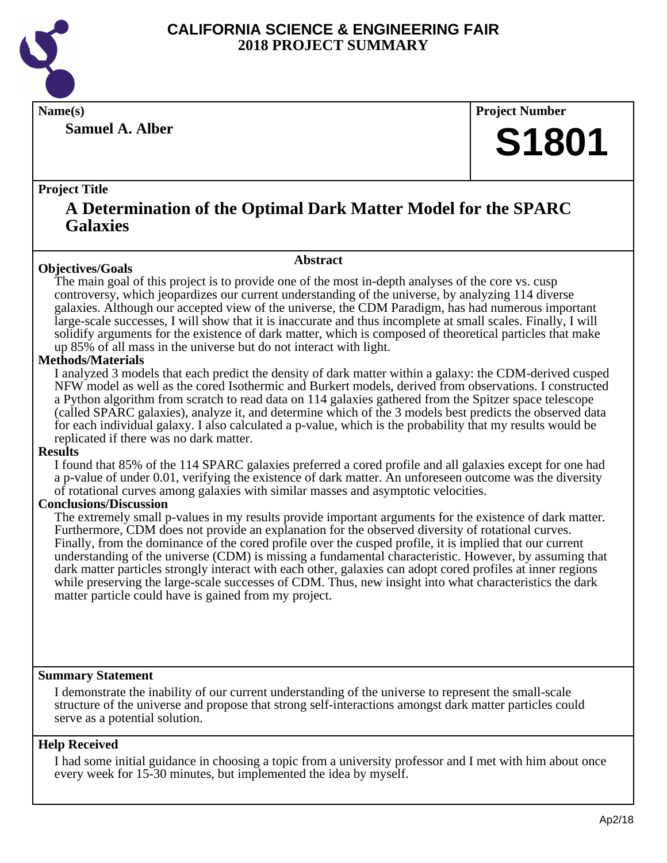

**Samuel A. Alber**

**Name(s) Project Number**

## **S1801**

#### **Project Title**

### **A Determination of the Optimal Dark Matter Model for the SPARC Galaxies**

**Abstract**

#### **Objectives/Goals**

The main goal of this project is to provide one of the most in-depth analyses of the core vs. cusp controversy, which jeopardizes our current understanding of the universe, by analyzing 114 diverse galaxies. Although our accepted view of the universe, the CDM Paradigm, has had numerous important large-scale successes, I will show that it is inaccurate and thus incomplete at small scales. Finally, I will solidify arguments for the existence of dark matter, which is composed of theoretical particles that make up 85% of all mass in the universe but do not interact with light.

#### **Methods/Materials**

I analyzed 3 models that each predict the density of dark matter within a galaxy: the CDM-derived cusped NFW model as well as the cored Isothermic and Burkert models, derived from observations. I constructed a Python algorithm from scratch to read data on 114 galaxies gathered from the Spitzer space telescope (called SPARC galaxies), analyze it, and determine which of the 3 models best predicts the observed data for each individual galaxy. I also calculated a p-value, which is the probability that my results would be replicated if there was no dark matter.

#### **Results**

I found that 85% of the 114 SPARC galaxies preferred a cored profile and all galaxies except for one had a p-value of under 0.01, verifying the existence of dark matter. An unforeseen outcome was the diversity of rotational curves among galaxies with similar masses and asymptotic velocities.

#### **Conclusions/Discussion**

The extremely small p-values in my results provide important arguments for the existence of dark matter. Furthermore, CDM does not provide an explanation for the observed diversity of rotational curves. Finally, from the dominance of the cored profile over the cusped profile, it is implied that our current understanding of the universe (CDM) is missing a fundamental characteristic. However, by assuming that dark matter particles strongly interact with each other, galaxies can adopt cored profiles at inner regions while preserving the large-scale successes of CDM. Thus, new insight into what characteristics the dark matter particle could have is gained from my project.

#### **Summary Statement**

I demonstrate the inability of our current understanding of the universe to represent the small-scale structure of the universe and propose that strong self-interactions amongst dark matter particles could serve as a potential solution.

#### **Help Received**

I had some initial guidance in choosing a topic from a university professor and I met with him about once every week for 15-30 minutes, but implemented the idea by myself.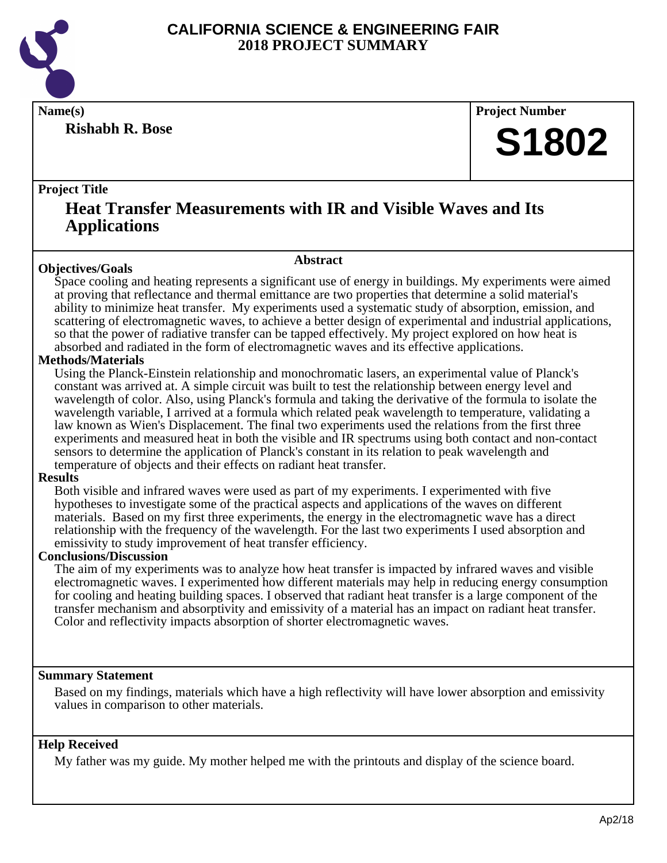

**Rishabh R. Bose**

**Name(s) Project Number**

## **S1802**

#### **Project Title**

### **Heat Transfer Measurements with IR and Visible Waves and Its Applications**

**Abstract**

#### **Objectives/Goals**

Space cooling and heating represents a significant use of energy in buildings. My experiments were aimed at proving that reflectance and thermal emittance are two properties that determine a solid material's ability to minimize heat transfer. My experiments used a systematic study of absorption, emission, and scattering of electromagnetic waves, to achieve a better design of experimental and industrial applications, so that the power of radiative transfer can be tapped effectively. My project explored on how heat is absorbed and radiated in the form of electromagnetic waves and its effective applications.

#### **Methods/Materials**

Using the Planck-Einstein relationship and monochromatic lasers, an experimental value of Planck's constant was arrived at. A simple circuit was built to test the relationship between energy level and wavelength of color. Also, using Planck's formula and taking the derivative of the formula to isolate the wavelength variable, I arrived at a formula which related peak wavelength to temperature, validating a law known as Wien's Displacement. The final two experiments used the relations from the first three experiments and measured heat in both the visible and IR spectrums using both contact and non-contact sensors to determine the application of Planck's constant in its relation to peak wavelength and temperature of objects and their effects on radiant heat transfer.

#### **Results**

Both visible and infrared waves were used as part of my experiments. I experimented with five hypotheses to investigate some of the practical aspects and applications of the waves on different materials. Based on my first three experiments, the energy in the electromagnetic wave has a direct relationship with the frequency of the wavelength. For the last two experiments I used absorption and emissivity to study improvement of heat transfer efficiency.

#### **Conclusions/Discussion**

The aim of my experiments was to analyze how heat transfer is impacted by infrared waves and visible electromagnetic waves. I experimented how different materials may help in reducing energy consumption for cooling and heating building spaces. I observed that radiant heat transfer is a large component of the transfer mechanism and absorptivity and emissivity of a material has an impact on radiant heat transfer. Color and reflectivity impacts absorption of shorter electromagnetic waves.

#### **Summary Statement**

Based on my findings, materials which have a high reflectivity will have lower absorption and emissivity values in comparison to other materials.

#### **Help Received**

My father was my guide. My mother helped me with the printouts and display of the science board.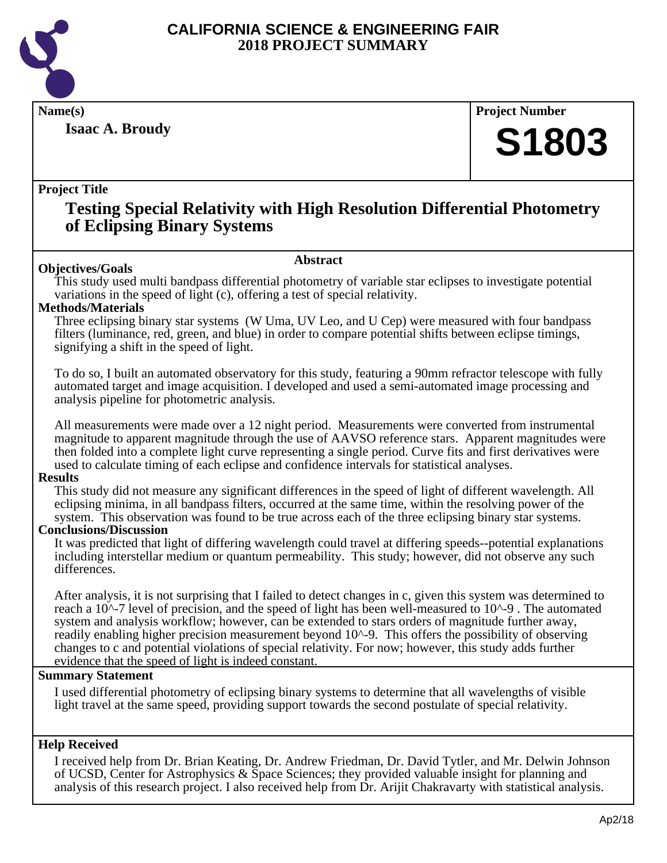

**Isaac A. Broudy**

**Name(s) Project Number**

## **S1803**

#### **Project Title**

### **Testing Special Relativity with High Resolution Differential Photometry of Eclipsing Binary Systems**

#### **Objectives/Goals**

#### **Abstract**

This study used multi bandpass differential photometry of variable star eclipses to investigate potential variations in the speed of light (c), offering a test of special relativity.

#### **Methods/Materials**

Three eclipsing binary star systems (W Uma, UV Leo, and U Cep) were measured with four bandpass filters (luminance, red, green, and blue) in order to compare potential shifts between eclipse timings, signifying a shift in the speed of light.

To do so, I built an automated observatory for this study, featuring a 90mm refractor telescope with fully automated target and image acquisition. I developed and used a semi-automated image processing and analysis pipeline for photometric analysis.

All measurements were made over a 12 night period. Measurements were converted from instrumental magnitude to apparent magnitude through the use of AAVSO reference stars. Apparent magnitudes were then folded into a complete light curve representing a single period. Curve fits and first derivatives were used to calculate timing of each eclipse and confidence intervals for statistical analyses.

#### **Results**

This study did not measure any significant differences in the speed of light of different wavelength. All eclipsing minima, in all bandpass filters, occurred at the same time, within the resolving power of the system. This observation was found to be true across each of the three eclipsing binary star systems.

#### **Conclusions/Discussion**

It was predicted that light of differing wavelength could travel at differing speeds--potential explanations including interstellar medium or quantum permeability. This study; however, did not observe any such differences.

After analysis, it is not surprising that I failed to detect changes in c, given this system was determined to reach a 10^-7 level of precision, and the speed of light has been well-measured to 10^-9 . The automated system and analysis workflow; however, can be extended to stars orders of magnitude further away, readily enabling higher precision measurement beyond  $10^{\lambda}$ -9. This offers the possibility of observing changes to c and potential violations of special relativity. For now; however, this study adds further evidence that the speed of light is indeed constant.

#### **Summary Statement**

I used differential photometry of eclipsing binary systems to determine that all wavelengths of visible light travel at the same speed, providing support towards the second postulate of special relativity.

#### **Help Received**

I received help from Dr. Brian Keating, Dr. Andrew Friedman, Dr. David Tytler, and Mr. Delwin Johnson of UCSD, Center for Astrophysics & Space Sciences; they provided valuable insight for planning and analysis of this research project. I also received help from Dr. Arijit Chakravarty with statistical analysis.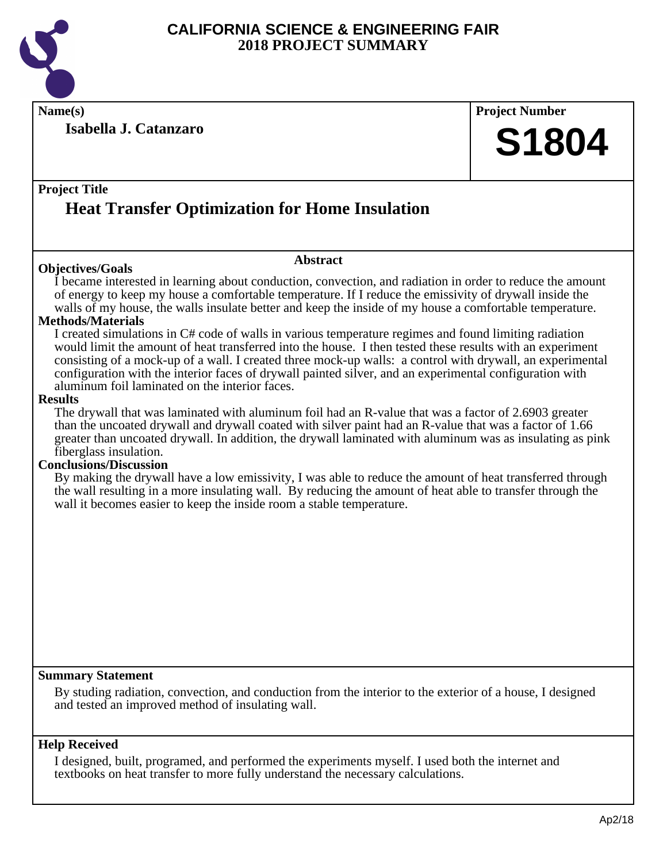

**Name(s) Project Number**

**Isabella J. Catanzaro**

## **S1804**

### **Project Title Heat Transfer Optimization for Home Insulation**

#### **Objectives/Goals**

#### **Abstract**

I became interested in learning about conduction, convection, and radiation in order to reduce the amount of energy to keep my house a comfortable temperature. If I reduce the emissivity of drywall inside the walls of my house, the walls insulate better and keep the inside of my house a comfortable temperature.

#### **Methods/Materials**

I created simulations in C# code of walls in various temperature regimes and found limiting radiation would limit the amount of heat transferred into the house. I then tested these results with an experiment consisting of a mock-up of a wall. I created three mock-up walls: a control with drywall, an experimental configuration with the interior faces of drywall painted silver, and an experimental configuration with aluminum foil laminated on the interior faces.

#### **Results**

The drywall that was laminated with aluminum foil had an R-value that was a factor of 2.6903 greater than the uncoated drywall and drywall coated with silver paint had an R-value that was a factor of 1.66 greater than uncoated drywall. In addition, the drywall laminated with aluminum was as insulating as pink fiberglass insulation.

#### **Conclusions/Discussion**

By making the drywall have a low emissivity, I was able to reduce the amount of heat transferred through the wall resulting in a more insulating wall. By reducing the amount of heat able to transfer through the wall it becomes easier to keep the inside room a stable temperature.

#### **Summary Statement**

By studing radiation, convection, and conduction from the interior to the exterior of a house, I designed and tested an improved method of insulating wall.

#### **Help Received**

I designed, built, programed, and performed the experiments myself. I used both the internet and textbooks on heat transfer to more fully understand the necessary calculations.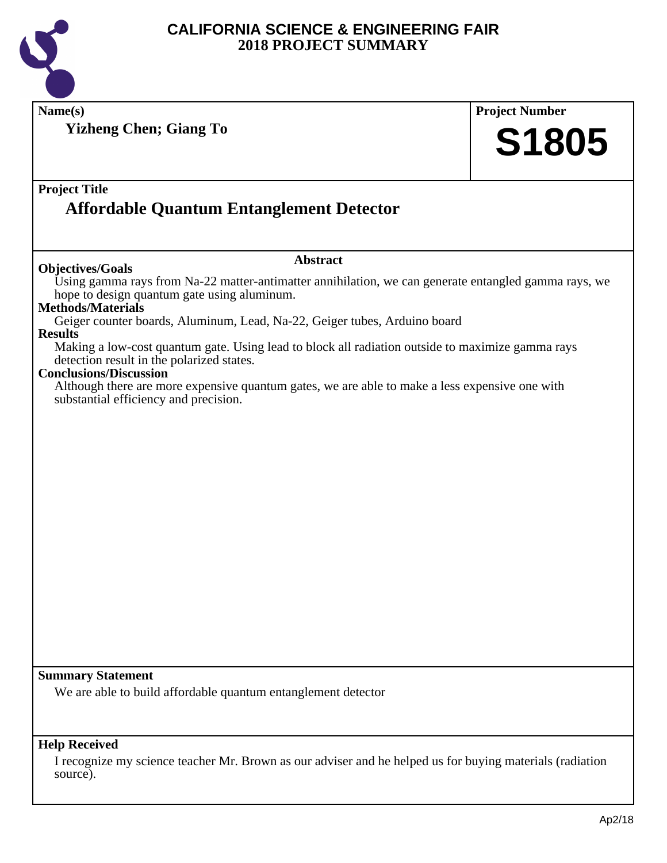

**Name(s) Project Number Project Title Abstract Summary Statement Help Received Yizheng Chen; Giang To Affordable Quantum Entanglement Detector S1805 Objectives/Goals** Using gamma rays from Na-22 matter-antimatter annihilation, we can generate entangled gamma rays, we hope to design quantum gate using aluminum. **Methods/Materials** Geiger counter boards, Aluminum, Lead, Na-22, Geiger tubes, Arduino board **Results** Making a low-cost quantum gate. Using lead to block all radiation outside to maximize gamma rays detection result in the polarized states. **Conclusions/Discussion** Although there are more expensive quantum gates, we are able to make a less expensive one with substantial efficiency and precision. We are able to build affordable quantum entanglement detector I recognize my science teacher Mr. Brown as our adviser and he helped us for buying materials (radiation source).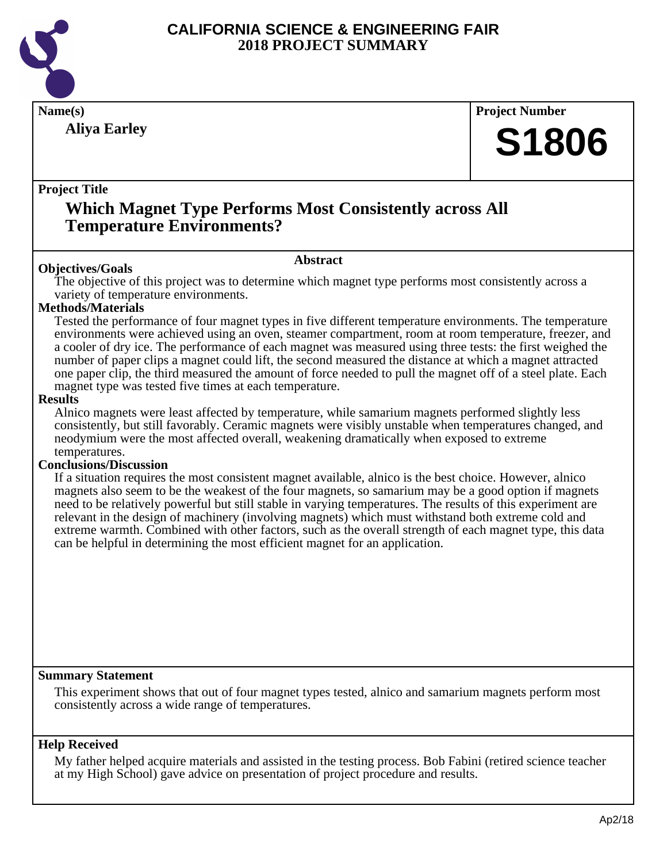

## **Aliya Earley**

## **Name(s) Project Number S1806**

#### **Project Title**

### **Which Magnet Type Performs Most Consistently across All Temperature Environments?**

#### **Abstract**

**Objectives/Goals**

The objective of this project was to determine which magnet type performs most consistently across a variety of temperature environments.

#### **Methods/Materials**

Tested the performance of four magnet types in five different temperature environments. The temperature environments were achieved using an oven, steamer compartment, room at room temperature, freezer, and a cooler of dry ice. The performance of each magnet was measured using three tests: the first weighed the number of paper clips a magnet could lift, the second measured the distance at which a magnet attracted one paper clip, the third measured the amount of force needed to pull the magnet off of a steel plate. Each magnet type was tested five times at each temperature.

#### **Results**

Alnico magnets were least affected by temperature, while samarium magnets performed slightly less consistently, but still favorably. Ceramic magnets were visibly unstable when temperatures changed, and neodymium were the most affected overall, weakening dramatically when exposed to extreme temperatures.

#### **Conclusions/Discussion**

If a situation requires the most consistent magnet available, alnico is the best choice. However, alnico magnets also seem to be the weakest of the four magnets, so samarium may be a good option if magnets need to be relatively powerful but still stable in varying temperatures. The results of this experiment are relevant in the design of machinery (involving magnets) which must withstand both extreme cold and extreme warmth. Combined with other factors, such as the overall strength of each magnet type, this data can be helpful in determining the most efficient magnet for an application.

#### **Summary Statement**

This experiment shows that out of four magnet types tested, alnico and samarium magnets perform most consistently across a wide range of temperatures.

#### **Help Received**

My father helped acquire materials and assisted in the testing process. Bob Fabini (retired science teacher at my High School) gave advice on presentation of project procedure and results.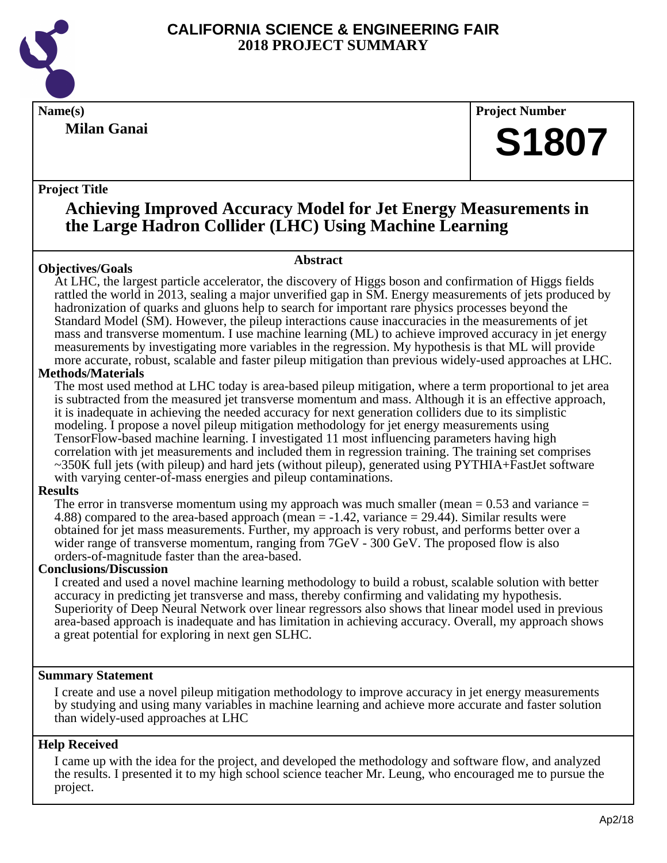

**Milan Ganai**

#### **Name(s) Project Number**

## **S1807**

#### **Project Title**

### **Achieving Improved Accuracy Model for Jet Energy Measurements in the Large Hadron Collider (LHC) Using Machine Learning**

**Abstract**

#### **Objectives/Goals**

At LHC, the largest particle accelerator, the discovery of Higgs boson and confirmation of Higgs fields rattled the world in 2013, sealing a major unverified gap in SM. Energy measurements of jets produced by hadronization of quarks and gluons help to search for important rare physics processes beyond the Standard Model (SM). However, the pileup interactions cause inaccuracies in the measurements of jet mass and transverse momentum. I use machine learning (ML) to achieve improved accuracy in jet energy measurements by investigating more variables in the regression. My hypothesis is that ML will provide more accurate, robust, scalable and faster pileup mitigation than previous widely-used approaches at LHC.

#### **Methods/Materials**

The most used method at LHC today is area-based pileup mitigation, where a term proportional to jet area is subtracted from the measured jet transverse momentum and mass. Although it is an effective approach, it is inadequate in achieving the needed accuracy for next generation colliders due to its simplistic modeling. I propose a novel pileup mitigation methodology for jet energy measurements using TensorFlow-based machine learning. I investigated 11 most influencing parameters having high correlation with jet measurements and included them in regression training. The training set comprises ~350K full jets (with pileup) and hard jets (without pileup), generated using PYTHIA+FastJet software with varying center-of-mass energies and pileup contaminations.

#### **Results**

The error in transverse momentum using my approach was much smaller (mean  $= 0.53$  and variance  $=$ 4.88) compared to the area-based approach (mean = -1.42, variance = 29.44). Similar results were obtained for jet mass measurements. Further, my approach is very robust, and performs better over a wider range of transverse momentum, ranging from 7GeV - 300 GeV. The proposed flow is also orders-of-magnitude faster than the area-based.

#### **Conclusions/Discussion**

I created and used a novel machine learning methodology to build a robust, scalable solution with better accuracy in predicting jet transverse and mass, thereby confirming and validating my hypothesis. Superiority of Deep Neural Network over linear regressors also shows that linear model used in previous area-based approach is inadequate and has limitation in achieving accuracy. Overall, my approach shows a great potential for exploring in next gen SLHC.

#### **Summary Statement**

I create and use a novel pileup mitigation methodology to improve accuracy in jet energy measurements by studying and using many variables in machine learning and achieve more accurate and faster solution than widely-used approaches at LHC

#### **Help Received**

I came up with the idea for the project, and developed the methodology and software flow, and analyzed the results. I presented it to my high school science teacher Mr. Leung, who encouraged me to pursue the project.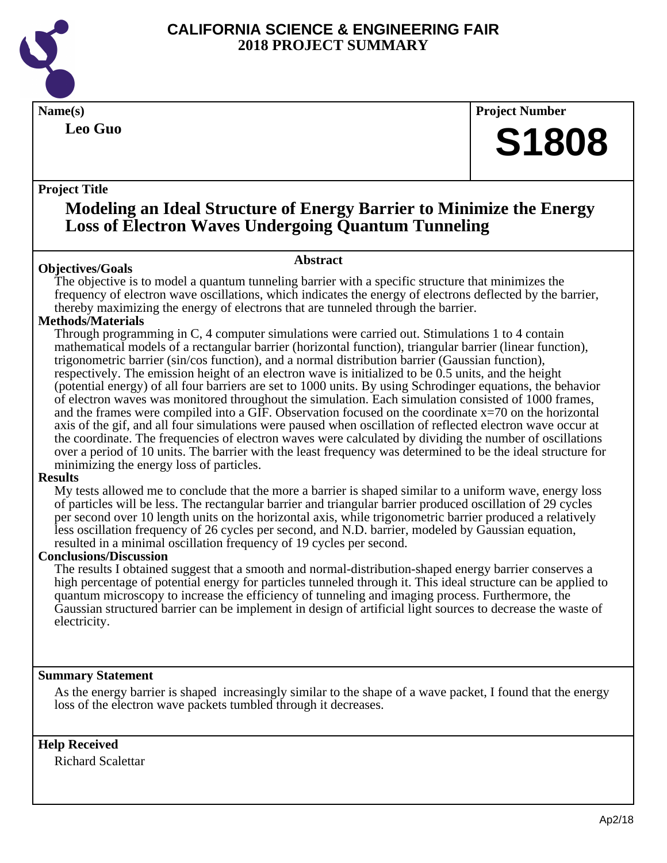

**Leo Guo**

**Name(s) Project Number**

## **S1808**

#### **Project Title**

### **Modeling an Ideal Structure of Energy Barrier to Minimize the Energy Loss of Electron Waves Undergoing Quantum Tunneling**

#### **Abstract**

**Objectives/Goals** The objective is to model a quantum tunneling barrier with a specific structure that minimizes the frequency of electron wave oscillations, which indicates the energy of electrons deflected by the barrier, thereby maximizing the energy of electrons that are tunneled through the barrier.

#### **Methods/Materials**

Through programming in C, 4 computer simulations were carried out. Stimulations 1 to 4 contain mathematical models of a rectangular barrier (horizontal function), triangular barrier (linear function), trigonometric barrier (sin/cos function), and a normal distribution barrier (Gaussian function), respectively. The emission height of an electron wave is initialized to be 0.5 units, and the height (potential energy) of all four barriers are set to 1000 units. By using Schrodinger equations, the behavior of electron waves was monitored throughout the simulation. Each simulation consisted of 1000 frames, and the frames were compiled into a GIF. Observation focused on the coordinate  $x=70$  on the horizontal axis of the gif, and all four simulations were paused when oscillation of reflected electron wave occur at the coordinate. The frequencies of electron waves were calculated by dividing the number of oscillations over a period of 10 units. The barrier with the least frequency was determined to be the ideal structure for minimizing the energy loss of particles.

#### **Results**

My tests allowed me to conclude that the more a barrier is shaped similar to a uniform wave, energy loss of particles will be less. The rectangular barrier and triangular barrier produced oscillation of 29 cycles per second over 10 length units on the horizontal axis, while trigonometric barrier produced a relatively less oscillation frequency of 26 cycles per second, and N.D. barrier, modeled by Gaussian equation, resulted in a minimal oscillation frequency of 19 cycles per second.

#### **Conclusions/Discussion**

The results I obtained suggest that a smooth and normal-distribution-shaped energy barrier conserves a high percentage of potential energy for particles tunneled through it. This ideal structure can be applied to quantum microscopy to increase the efficiency of tunneling and imaging process. Furthermore, the Gaussian structured barrier can be implement in design of artificial light sources to decrease the waste of electricity.

#### **Summary Statement**

As the energy barrier is shaped increasingly similar to the shape of a wave packet, I found that the energy loss of the electron wave packets tumbled through it decreases.

#### **Help Received**

Richard Scalettar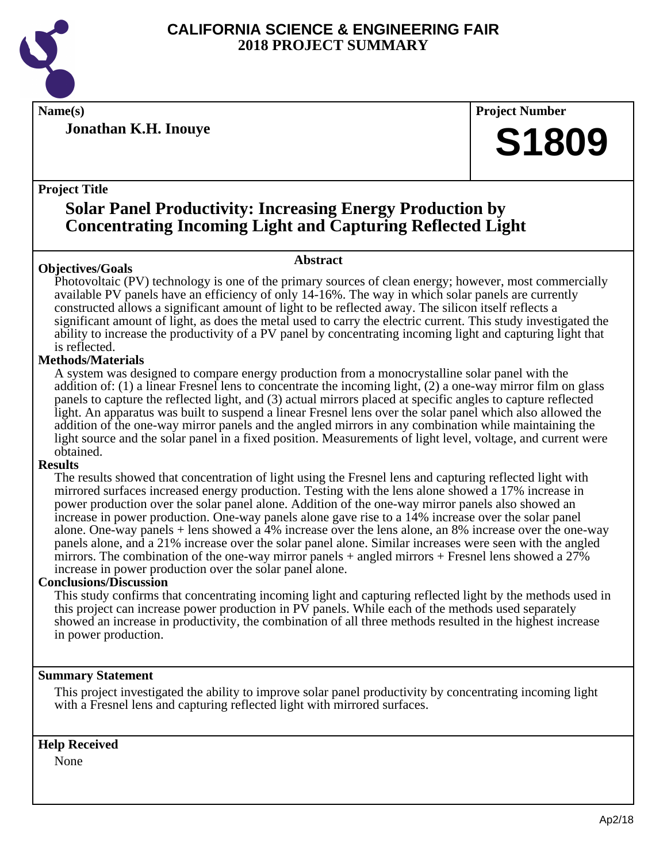

**Jonathan K.H. Inouye**

**Name(s) Project Number**

## **S1809**

#### **Project Title**

### **Solar Panel Productivity: Increasing Energy Production by Concentrating Incoming Light and Capturing Reflected Light**

#### **Objectives/Goals**

#### **Abstract**

Photovoltaic (PV) technology is one of the primary sources of clean energy; however, most commercially available PV panels have an efficiency of only 14-16%. The way in which solar panels are currently constructed allows a significant amount of light to be reflected away. The silicon itself reflects a significant amount of light, as does the metal used to carry the electric current. This study investigated the ability to increase the productivity of a PV panel by concentrating incoming light and capturing light that is reflected.

#### **Methods/Materials**

A system was designed to compare energy production from a monocrystalline solar panel with the addition of: (1) a linear Fresnel lens to concentrate the incoming light, (2) a one-way mirror film on glass panels to capture the reflected light, and (3) actual mirrors placed at specific angles to capture reflected light. An apparatus was built to suspend a linear Fresnel lens over the solar panel which also allowed the addition of the one-way mirror panels and the angled mirrors in any combination while maintaining the light source and the solar panel in a fixed position. Measurements of light level, voltage, and current were obtained.

#### **Results**

The results showed that concentration of light using the Fresnel lens and capturing reflected light with mirrored surfaces increased energy production. Testing with the lens alone showed a 17% increase in power production over the solar panel alone. Addition of the one-way mirror panels also showed an increase in power production. One-way panels alone gave rise to a 14% increase over the solar panel alone. One-way panels + lens showed a 4% increase over the lens alone, an 8% increase over the one-way panels alone, and a 21% increase over the solar panel alone. Similar increases were seen with the angled mirrors. The combination of the one-way mirror panels  $+$  angled mirrors  $+$  Fresnel lens showed a 27% increase in power production over the solar panel alone.

#### **Conclusions/Discussion**

This study confirms that concentrating incoming light and capturing reflected light by the methods used in this project can increase power production in PV panels. While each of the methods used separately showed an increase in productivity, the combination of all three methods resulted in the highest increase in power production.

#### **Summary Statement**

This project investigated the ability to improve solar panel productivity by concentrating incoming light with a Fresnel lens and capturing reflected light with mirrored surfaces.

#### **Help Received**

None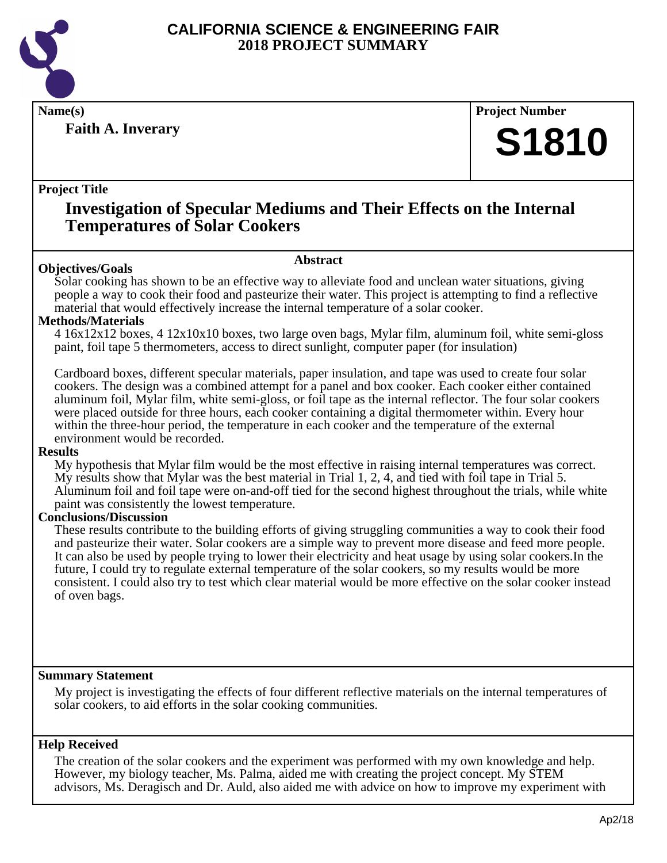

**Faith A. Inverary**

**Name(s) Project Number**

## **S1810**

#### **Project Title**

### **Investigation of Specular Mediums and Their Effects on the Internal Temperatures of Solar Cookers**

#### **Abstract**

**Objectives/Goals** Solar cooking has shown to be an effective way to alleviate food and unclean water situations, giving people a way to cook their food and pasteurize their water. This project is attempting to find a reflective material that would effectively increase the internal temperature of a solar cooker.

#### **Methods/Materials**

4 16x12x12 boxes, 4 12x10x10 boxes, two large oven bags, Mylar film, aluminum foil, white semi-gloss paint, foil tape 5 thermometers, access to direct sunlight, computer paper (for insulation)

Cardboard boxes, different specular materials, paper insulation, and tape was used to create four solar cookers. The design was a combined attempt for a panel and box cooker. Each cooker either contained aluminum foil, Mylar film, white semi-gloss, or foil tape as the internal reflector. The four solar cookers were placed outside for three hours, each cooker containing a digital thermometer within. Every hour within the three-hour period, the temperature in each cooker and the temperature of the external environment would be recorded.

#### **Results**

My hypothesis that Mylar film would be the most effective in raising internal temperatures was correct. My results show that Mylar was the best material in Trial 1, 2, 4, and tied with foil tape in Trial 5. Aluminum foil and foil tape were on-and-off tied for the second highest throughout the trials, while white paint was consistently the lowest temperature.

#### **Conclusions/Discussion**

These results contribute to the building efforts of giving struggling communities a way to cook their food and pasteurize their water. Solar cookers are a simple way to prevent more disease and feed more people. It can also be used by people trying to lower their electricity and heat usage by using solar cookers.In the future, I could try to regulate external temperature of the solar cookers, so my results would be more consistent. I could also try to test which clear material would be more effective on the solar cooker instead of oven bags.

#### **Summary Statement**

My project is investigating the effects of four different reflective materials on the internal temperatures of solar cookers, to aid efforts in the solar cooking communities.

#### **Help Received**

The creation of the solar cookers and the experiment was performed with my own knowledge and help. However, my biology teacher, Ms. Palma, aided me with creating the project concept. My STEM advisors, Ms. Deragisch and Dr. Auld, also aided me with advice on how to improve my experiment with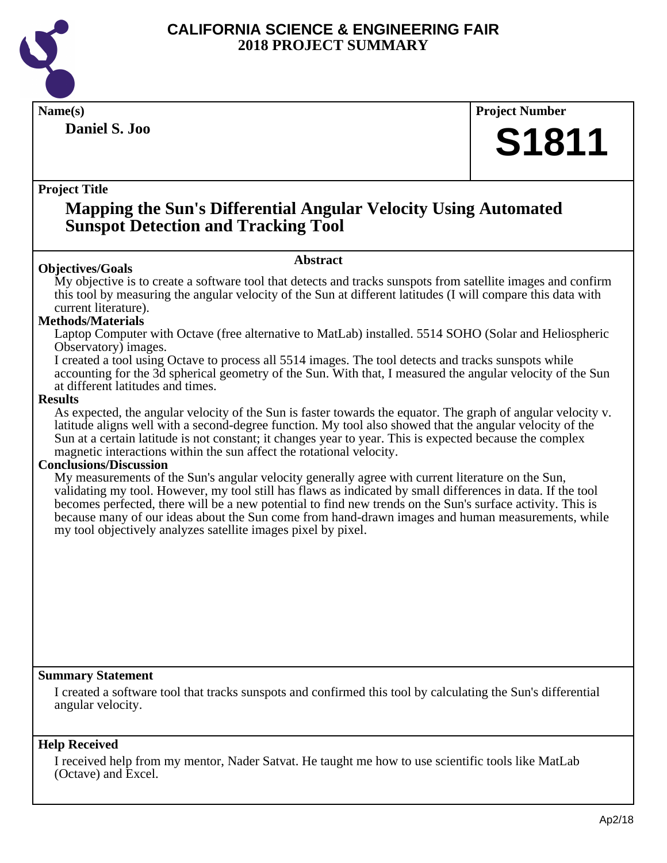

**Daniel S. Joo**

**Name(s) Project Number**

## **S1811**

#### **Project Title**

### **Mapping the Sun's Differential Angular Velocity Using Automated Sunspot Detection and Tracking Tool**

#### **Abstract**

**Objectives/Goals** My objective is to create a software tool that detects and tracks sunspots from satellite images and confirm this tool by measuring the angular velocity of the Sun at different latitudes (I will compare this data with current literature).

#### **Methods/Materials**

Laptop Computer with Octave (free alternative to MatLab) installed. 5514 SOHO (Solar and Heliospheric Observatory) images.

I created a tool using Octave to process all 5514 images. The tool detects and tracks sunspots while accounting for the 3d spherical geometry of the Sun. With that, I measured the angular velocity of the Sun at different latitudes and times.

#### **Results**

As expected, the angular velocity of the Sun is faster towards the equator. The graph of angular velocity v. latitude aligns well with a second-degree function. My tool also showed that the angular velocity of the Sun at a certain latitude is not constant; it changes year to year. This is expected because the complex magnetic interactions within the sun affect the rotational velocity.

#### **Conclusions/Discussion**

My measurements of the Sun's angular velocity generally agree with current literature on the Sun, validating my tool. However, my tool still has flaws as indicated by small differences in data. If the tool becomes perfected, there will be a new potential to find new trends on the Sun's surface activity. This is because many of our ideas about the Sun come from hand-drawn images and human measurements, while my tool objectively analyzes satellite images pixel by pixel.

#### **Summary Statement**

I created a software tool that tracks sunspots and confirmed this tool by calculating the Sun's differential angular velocity.

#### **Help Received**

I received help from my mentor, Nader Satvat. He taught me how to use scientific tools like MatLab (Octave) and Excel.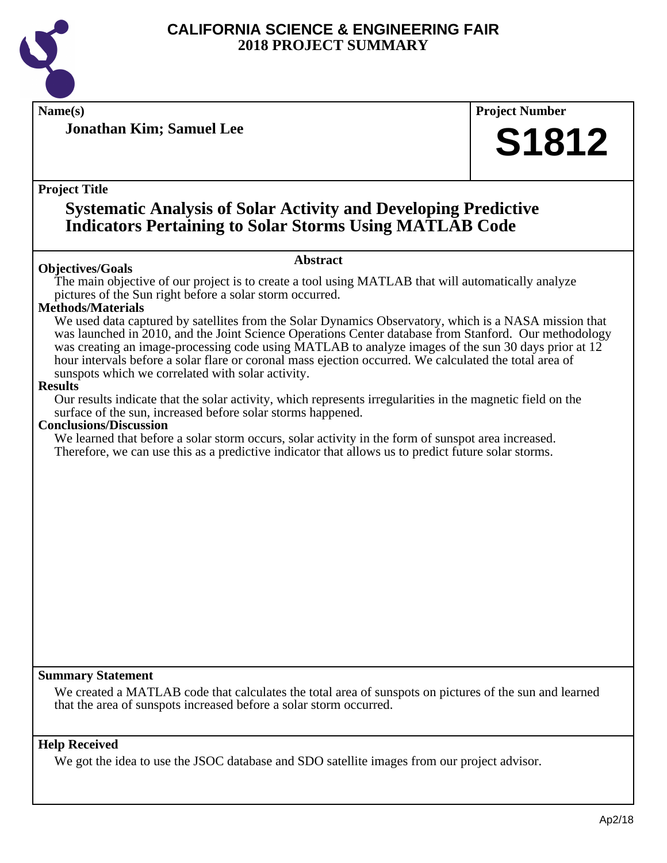

**Jonathan Kim; Samuel Lee**

**Name(s) Project Number**

## **S1812**

#### **Project Title**

### **Systematic Analysis of Solar Activity and Developing Predictive Indicators Pertaining to Solar Storms Using MATLAB Code**

#### **Objectives/Goals**

#### **Abstract**

The main objective of our project is to create a tool using MATLAB that will automatically analyze pictures of the Sun right before a solar storm occurred.

#### **Methods/Materials**

We used data captured by satellites from the Solar Dynamics Observatory, which is a NASA mission that was launched in 2010, and the Joint Science Operations Center database from Stanford. Our methodology was creating an image-processing code using MATLAB to analyze images of the sun 30 days prior at 12 hour intervals before a solar flare or coronal mass ejection occurred. We calculated the total area of sunspots which we correlated with solar activity.

#### **Results**

Our results indicate that the solar activity, which represents irregularities in the magnetic field on the surface of the sun, increased before solar storms happened.

#### **Conclusions/Discussion**

We learned that before a solar storm occurs, solar activity in the form of sunspot area increased. Therefore, we can use this as a predictive indicator that allows us to predict future solar storms.

#### **Summary Statement**

We created a MATLAB code that calculates the total area of sunspots on pictures of the sun and learned that the area of sunspots increased before a solar storm occurred.

#### **Help Received**

We got the idea to use the JSOC database and SDO satellite images from our project advisor.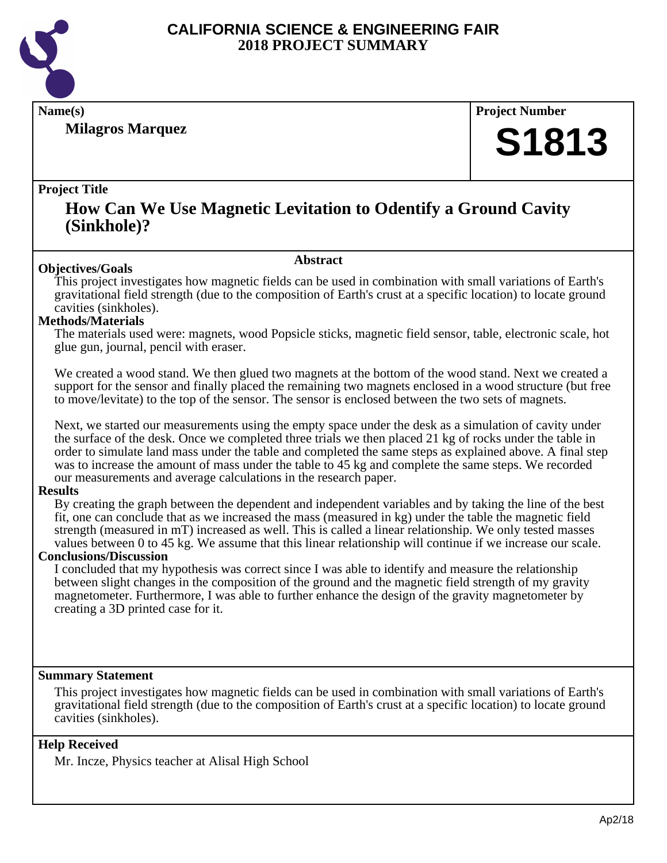

**Milagros Marquez**

**Name(s) Project Number**

## **S1813**

#### **Project Title**

### **How Can We Use Magnetic Levitation to Odentify a Ground Cavity (Sinkhole)?**

#### **Abstract**

**Objectives/Goals** This project investigates how magnetic fields can be used in combination with small variations of Earth's gravitational field strength (due to the composition of Earth's crust at a specific location) to locate ground cavities (sinkholes).

#### **Methods/Materials**

The materials used were: magnets, wood Popsicle sticks, magnetic field sensor, table, electronic scale, hot glue gun, journal, pencil with eraser.

We created a wood stand. We then glued two magnets at the bottom of the wood stand. Next we created a support for the sensor and finally placed the remaining two magnets enclosed in a wood structure (but free to move/levitate) to the top of the sensor. The sensor is enclosed between the two sets of magnets.

Next, we started our measurements using the empty space under the desk as a simulation of cavity under the surface of the desk. Once we completed three trials we then placed 21 kg of rocks under the table in order to simulate land mass under the table and completed the same steps as explained above. A final step was to increase the amount of mass under the table to 45 kg and complete the same steps. We recorded our measurements and average calculations in the research paper.

#### **Results**

By creating the graph between the dependent and independent variables and by taking the line of the best fit, one can conclude that as we increased the mass (measured in kg) under the table the magnetic field strength (measured in mT) increased as well. This is called a linear relationship. We only tested masses values between 0 to 45 kg. We assume that this linear relationship will continue if we increase our scale.

#### **Conclusions/Discussion**

I concluded that my hypothesis was correct since I was able to identify and measure the relationship between slight changes in the composition of the ground and the magnetic field strength of my gravity magnetometer. Furthermore, I was able to further enhance the design of the gravity magnetometer by creating a 3D printed case for it.

#### **Summary Statement**

This project investigates how magnetic fields can be used in combination with small variations of Earth's gravitational field strength (due to the composition of Earth's crust at a specific location) to locate ground cavities (sinkholes).

#### **Help Received**

Mr. Incze, Physics teacher at Alisal High School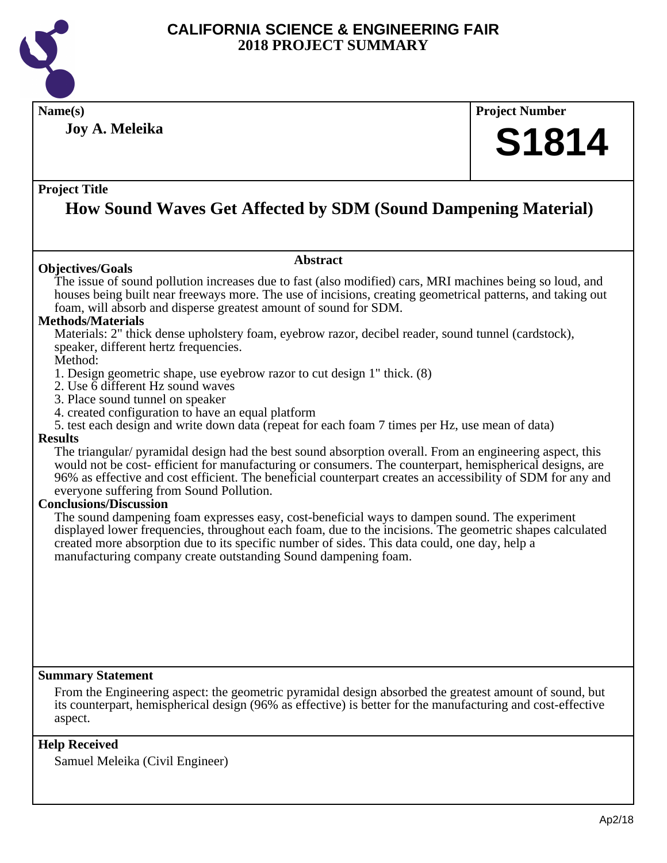

**Joy A. Meleika**

## **Name(s) Project Number S1814**

#### **Project Title**

### **How Sound Waves Get Affected by SDM (Sound Dampening Material)**

#### **Objectives/Goals**

#### **Abstract**

The issue of sound pollution increases due to fast (also modified) cars, MRI machines being so loud, and houses being built near freeways more. The use of incisions, creating geometrical patterns, and taking out foam, will absorb and disperse greatest amount of sound for SDM.

#### **Methods/Materials**

Materials: 2" thick dense upholstery foam, eyebrow razor, decibel reader, sound tunnel (cardstock), speaker, different hertz frequencies.

#### Method:

- 1. Design geometric shape, use eyebrow razor to cut design 1" thick. (8)
- 2. Use 6 different Hz sound waves
- 3. Place sound tunnel on speaker
- 4. created configuration to have an equal platform
- 5. test each design and write down data (repeat for each foam 7 times per Hz, use mean of data)

#### **Results**

The triangular/ pyramidal design had the best sound absorption overall. From an engineering aspect, this would not be cost- efficient for manufacturing or consumers. The counterpart, hemispherical designs, are 96% as effective and cost efficient. The beneficial counterpart creates an accessibility of SDM for any and everyone suffering from Sound Pollution.

#### **Conclusions/Discussion**

The sound dampening foam expresses easy, cost-beneficial ways to dampen sound. The experiment displayed lower frequencies, throughout each foam, due to the incisions. The geometric shapes calculated created more absorption due to its specific number of sides. This data could, one day, help a manufacturing company create outstanding Sound dampening foam.

#### **Summary Statement**

From the Engineering aspect: the geometric pyramidal design absorbed the greatest amount of sound, but its counterpart, hemispherical design (96% as effective) is better for the manufacturing and cost-effective aspect.

#### **Help Received**

Samuel Meleika (Civil Engineer)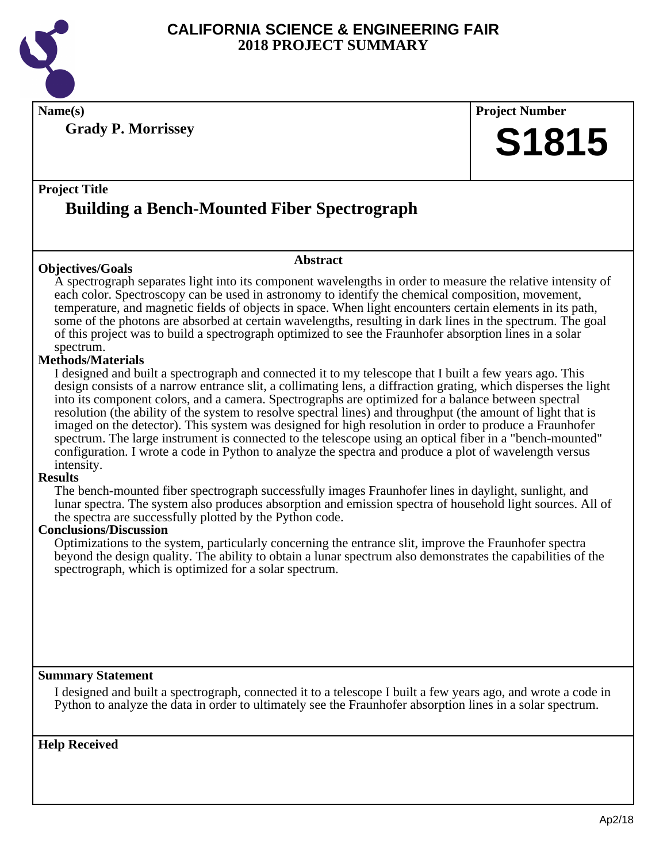

**Name(s) Project Number**

**Grady P. Morrissey**

# **S1815**

### **Project Title Building a Bench-Mounted Fiber Spectrograph**

#### **Objectives/Goals**

#### **Abstract**

A spectrograph separates light into its component wavelengths in order to measure the relative intensity of each color. Spectroscopy can be used in astronomy to identify the chemical composition, movement, temperature, and magnetic fields of objects in space. When light encounters certain elements in its path, some of the photons are absorbed at certain wavelengths, resulting in dark lines in the spectrum. The goal of this project was to build a spectrograph optimized to see the Fraunhofer absorption lines in a solar spectrum.

#### **Methods/Materials**

I designed and built a spectrograph and connected it to my telescope that I built a few years ago. This design consists of a narrow entrance slit, a collimating lens, a diffraction grating, which disperses the light into its component colors, and a camera. Spectrographs are optimized for a balance between spectral resolution (the ability of the system to resolve spectral lines) and throughput (the amount of light that is imaged on the detector). This system was designed for high resolution in order to produce a Fraunhofer spectrum. The large instrument is connected to the telescope using an optical fiber in a "bench-mounted" configuration. I wrote a code in Python to analyze the spectra and produce a plot of wavelength versus intensity.

#### **Results**

The bench-mounted fiber spectrograph successfully images Fraunhofer lines in daylight, sunlight, and lunar spectra. The system also produces absorption and emission spectra of household light sources. All of the spectra are successfully plotted by the Python code.

#### **Conclusions/Discussion**

Optimizations to the system, particularly concerning the entrance slit, improve the Fraunhofer spectra beyond the design quality. The ability to obtain a lunar spectrum also demonstrates the capabilities of the spectrograph, which is optimized for a solar spectrum.

#### **Summary Statement**

I designed and built a spectrograph, connected it to a telescope I built a few years ago, and wrote a code in Python to analyze the data in order to ultimately see the Fraunhofer absorption lines in a solar spectrum.

**Help Received**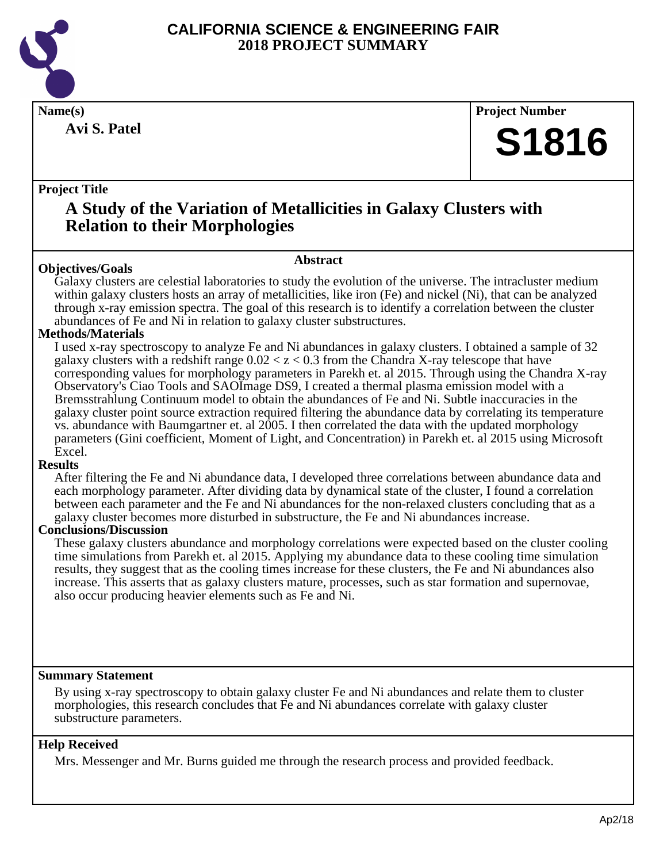

**Avi S. Patel**

**Name(s) Project Number**

## **S1816**

#### **Project Title**

### **A Study of the Variation of Metallicities in Galaxy Clusters with Relation to their Morphologies**

#### **Objectives/Goals**

Galaxy clusters are celestial laboratories to study the evolution of the universe. The intracluster medium within galaxy clusters hosts an array of metallicities, like iron (Fe) and nickel (Ni), that can be analyzed through x-ray emission spectra. The goal of this research is to identify a correlation between the cluster abundances of Fe and Ni in relation to galaxy cluster substructures.

**Abstract**

#### **Methods/Materials**

I used x-ray spectroscopy to analyze Fe and Ni abundances in galaxy clusters. I obtained a sample of 32 galaxy clusters with a redshift range  $0.02 < z < 0.3$  from the Chandra X-ray telescope that have corresponding values for morphology parameters in Parekh et. al 2015. Through using the Chandra X-ray Observatory's Ciao Tools and SAOImage DS9, I created a thermal plasma emission model with a Bremsstrahlung Continuum model to obtain the abundances of Fe and Ni. Subtle inaccuracies in the galaxy cluster point source extraction required filtering the abundance data by correlating its temperature vs. abundance with Baumgartner et. al 2005. I then correlated the data with the updated morphology parameters (Gini coefficient, Moment of Light, and Concentration) in Parekh et. al 2015 using Microsoft Excel.

#### **Results**

After filtering the Fe and Ni abundance data, I developed three correlations between abundance data and each morphology parameter. After dividing data by dynamical state of the cluster, I found a correlation between each parameter and the Fe and Ni abundances for the non-relaxed clusters concluding that as a galaxy cluster becomes more disturbed in substructure, the Fe and Ni abundances increase.

#### **Conclusions/Discussion**

These galaxy clusters abundance and morphology correlations were expected based on the cluster cooling time simulations from Parekh et. al 2015. Applying my abundance data to these cooling time simulation results, they suggest that as the cooling times increase for these clusters, the Fe and Ni abundances also increase. This asserts that as galaxy clusters mature, processes, such as star formation and supernovae, also occur producing heavier elements such as Fe and Ni.

#### **Summary Statement**

By using x-ray spectroscopy to obtain galaxy cluster Fe and Ni abundances and relate them to cluster morphologies, this research concludes that Fe and Ni abundances correlate with galaxy cluster substructure parameters.

#### **Help Received**

Mrs. Messenger and Mr. Burns guided me through the research process and provided feedback.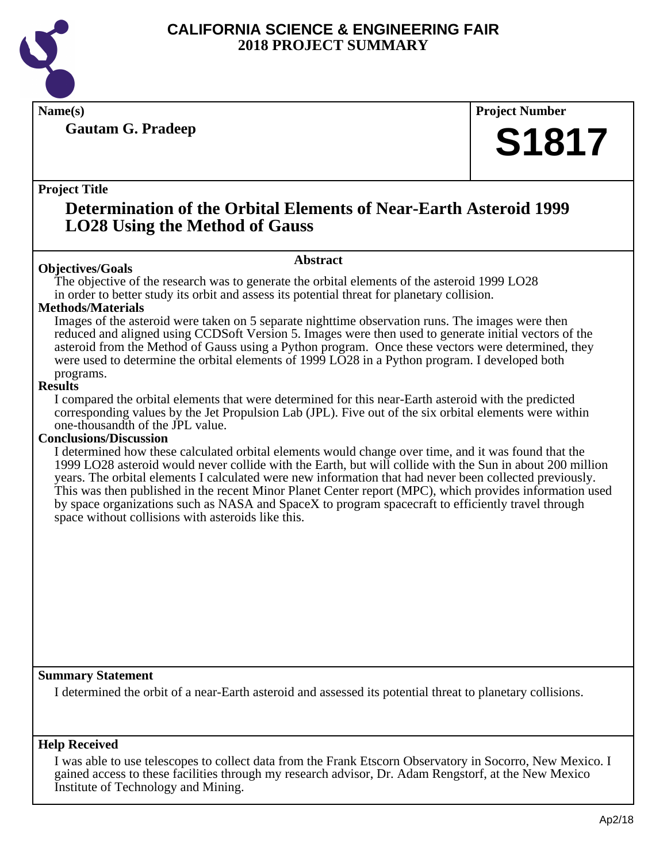

**Gautam G. Pradeep**

**Name(s) Project Number**

## **S1817**

#### **Project Title**

### **Determination of the Orbital Elements of Near-Earth Asteroid 1999 LO28 Using the Method of Gauss**

#### **Abstract**

**Objectives/Goals** The objective of the research was to generate the orbital elements of the asteroid 1999 LO28 in order to better study its orbit and assess its potential threat for planetary collision.

#### **Methods/Materials**

Images of the asteroid were taken on 5 separate nighttime observation runs. The images were then reduced and aligned using CCDSoft Version 5. Images were then used to generate initial vectors of the asteroid from the Method of Gauss using a Python program. Once these vectors were determined, they were used to determine the orbital elements of 1999 LO28 in a Python program. I developed both programs.

#### **Results**

I compared the orbital elements that were determined for this near-Earth asteroid with the predicted corresponding values by the Jet Propulsion Lab (JPL). Five out of the six orbital elements were within one-thousandth of the JPL value.

#### **Conclusions/Discussion**

I determined how these calculated orbital elements would change over time, and it was found that the 1999 LO28 asteroid would never collide with the Earth, but will collide with the Sun in about 200 million years. The orbital elements I calculated were new information that had never been collected previously. This was then published in the recent Minor Planet Center report (MPC), which provides information used by space organizations such as NASA and SpaceX to program spacecraft to efficiently travel through space without collisions with asteroids like this.

#### **Summary Statement**

I determined the orbit of a near-Earth asteroid and assessed its potential threat to planetary collisions.

#### **Help Received**

I was able to use telescopes to collect data from the Frank Etscorn Observatory in Socorro, New Mexico. I gained access to these facilities through my research advisor, Dr. Adam Rengstorf, at the New Mexico Institute of Technology and Mining.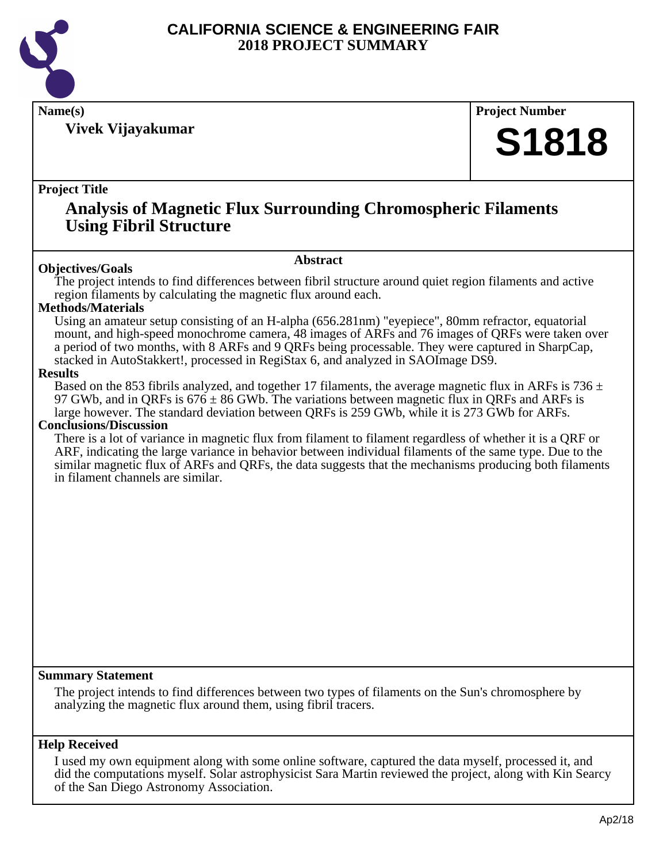

**Vivek Vijayakumar**

**Name(s) Project Number**

## **S1818**

#### **Project Title**

### **Analysis of Magnetic Flux Surrounding Chromospheric Filaments Using Fibril Structure**

#### **Abstract**

**Objectives/Goals** The project intends to find differences between fibril structure around quiet region filaments and active region filaments by calculating the magnetic flux around each.

#### **Methods/Materials**

Using an amateur setup consisting of an H-alpha (656.281nm) "eyepiece", 80mm refractor, equatorial mount, and high-speed monochrome camera, 48 images of ARFs and 76 images of QRFs were taken over a period of two months, with 8 ARFs and 9 QRFs being processable. They were captured in SharpCap, stacked in AutoStakkert!, processed in RegiStax 6, and analyzed in SAOImage DS9.

#### **Results**

Based on the 853 fibrils analyzed, and together 17 filaments, the average magnetic flux in ARFs is 736  $\pm$ 97 GWb, and in QRFs is  $676 \pm 86$  GWb. The variations between magnetic flux in QRFs and ARFs is large however. The standard deviation between QRFs is 259 GWb, while it is 273 GWb for ARFs.

#### **Conclusions/Discussion**

There is a lot of variance in magnetic flux from filament to filament regardless of whether it is a QRF or ARF, indicating the large variance in behavior between individual filaments of the same type. Due to the similar magnetic flux of ARFs and QRFs, the data suggests that the mechanisms producing both filaments in filament channels are similar.

#### **Summary Statement**

The project intends to find differences between two types of filaments on the Sun's chromosphere by analyzing the magnetic flux around them, using fibril tracers.

#### **Help Received**

I used my own equipment along with some online software, captured the data myself, processed it, and did the computations myself. Solar astrophysicist Sara Martin reviewed the project, along with Kin Searcy of the San Diego Astronomy Association.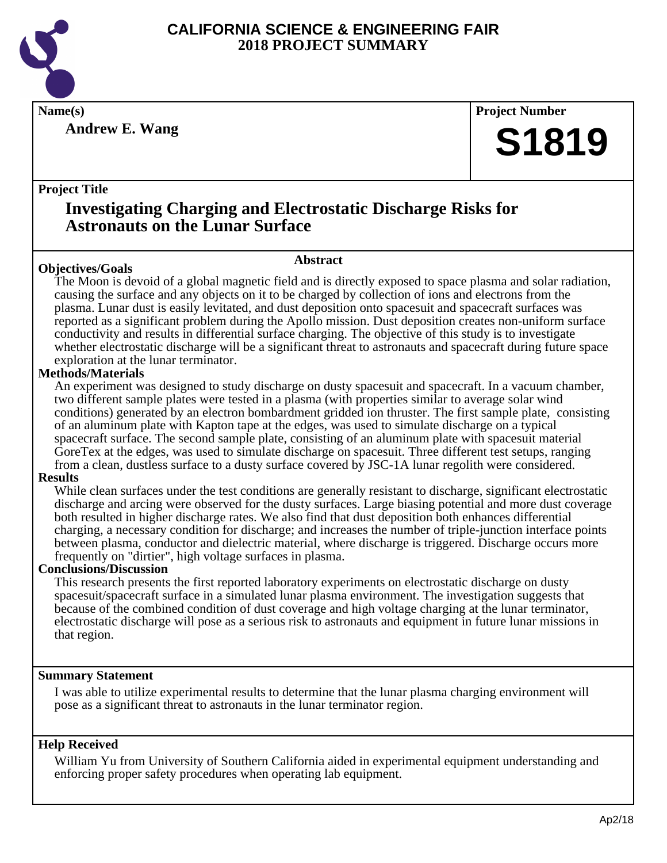

**Andrew E. Wang**

**Name(s) Project Number**

## **S1819**

#### **Project Title**

### **Investigating Charging and Electrostatic Discharge Risks for Astronauts on the Lunar Surface**

#### **Objectives/Goals**

**Abstract**

The Moon is devoid of a global magnetic field and is directly exposed to space plasma and solar radiation, causing the surface and any objects on it to be charged by collection of ions and electrons from the plasma. Lunar dust is easily levitated, and dust deposition onto spacesuit and spacecraft surfaces was reported as a significant problem during the Apollo mission. Dust deposition creates non-uniform surface conductivity and results in differential surface charging. The objective of this study is to investigate whether electrostatic discharge will be a significant threat to astronauts and spacecraft during future space exploration at the lunar terminator.

#### **Methods/Materials**

An experiment was designed to study discharge on dusty spacesuit and spacecraft. In a vacuum chamber, two different sample plates were tested in a plasma (with properties similar to average solar wind conditions) generated by an electron bombardment gridded ion thruster. The first sample plate, consisting of an aluminum plate with Kapton tape at the edges, was used to simulate discharge on a typical spacecraft surface. The second sample plate, consisting of an aluminum plate with spacesuit material GoreTex at the edges, was used to simulate discharge on spacesuit. Three different test setups, ranging from a clean, dustless surface to a dusty surface covered by JSC-1A lunar regolith were considered.

#### **Results**

While clean surfaces under the test conditions are generally resistant to discharge, significant electrostatic discharge and arcing were observed for the dusty surfaces. Large biasing potential and more dust coverage both resulted in higher discharge rates. We also find that dust deposition both enhances differential charging, a necessary condition for discharge; and increases the number of triple-junction interface points between plasma, conductor and dielectric material, where discharge is triggered. Discharge occurs more frequently on "dirtier", high voltage surfaces in plasma.

#### **Conclusions/Discussion**

This research presents the first reported laboratory experiments on electrostatic discharge on dusty spacesuit/spacecraft surface in a simulated lunar plasma environment. The investigation suggests that because of the combined condition of dust coverage and high voltage charging at the lunar terminator, electrostatic discharge will pose as a serious risk to astronauts and equipment in future lunar missions in that region.

#### **Summary Statement**

I was able to utilize experimental results to determine that the lunar plasma charging environment will pose as a significant threat to astronauts in the lunar terminator region.

#### **Help Received**

William Yu from University of Southern California aided in experimental equipment understanding and enforcing proper safety procedures when operating lab equipment.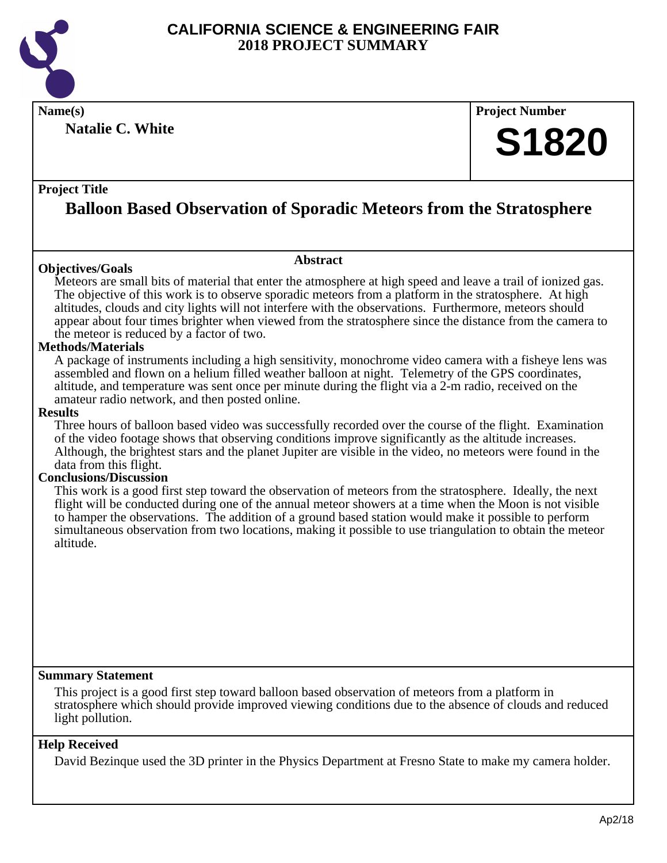

**Natalie C. White**

**Name(s) Project Number**

## **S1820**

#### **Project Title**

## **Balloon Based Observation of Sporadic Meteors from the Stratosphere**

#### **Objectives/Goals**

**Abstract**

Meteors are small bits of material that enter the atmosphere at high speed and leave a trail of ionized gas. The objective of this work is to observe sporadic meteors from a platform in the stratosphere. At high altitudes, clouds and city lights will not interfere with the observations. Furthermore, meteors should appear about four times brighter when viewed from the stratosphere since the distance from the camera to the meteor is reduced by a factor of two.

#### **Methods/Materials**

A package of instruments including a high sensitivity, monochrome video camera with a fisheye lens was assembled and flown on a helium filled weather balloon at night. Telemetry of the GPS coordinates, altitude, and temperature was sent once per minute during the flight via a 2-m radio, received on the amateur radio network, and then posted online.

#### **Results**

Three hours of balloon based video was successfully recorded over the course of the flight. Examination of the video footage shows that observing conditions improve significantly as the altitude increases. Although, the brightest stars and the planet Jupiter are visible in the video, no meteors were found in the data from this flight.

#### **Conclusions/Discussion**

This work is a good first step toward the observation of meteors from the stratosphere. Ideally, the next flight will be conducted during one of the annual meteor showers at a time when the Moon is not visible to hamper the observations. The addition of a ground based station would make it possible to perform simultaneous observation from two locations, making it possible to use triangulation to obtain the meteor altitude.

#### **Summary Statement**

This project is a good first step toward balloon based observation of meteors from a platform in stratosphere which should provide improved viewing conditions due to the absence of clouds and reduced light pollution.

#### **Help Received**

David Bezinque used the 3D printer in the Physics Department at Fresno State to make my camera holder.